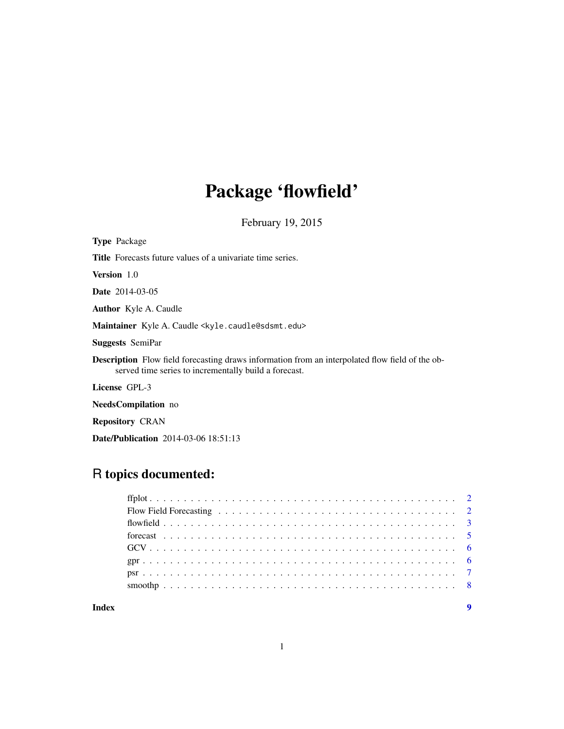## Package 'flowfield'

February 19, 2015

Type Package Title Forecasts future values of a univariate time series. Version 1.0 Date 2014-03-05 Author Kyle A. Caudle Maintainer Kyle A. Caudle <kyle.caudle@sdsmt.edu> Suggests SemiPar Description Flow field forecasting draws information from an interpolated flow field of the observed time series to incrementally build a forecast. License GPL-3 NeedsCompilation no

Repository CRAN

Date/Publication 2014-03-06 18:51:13

### R topics documented: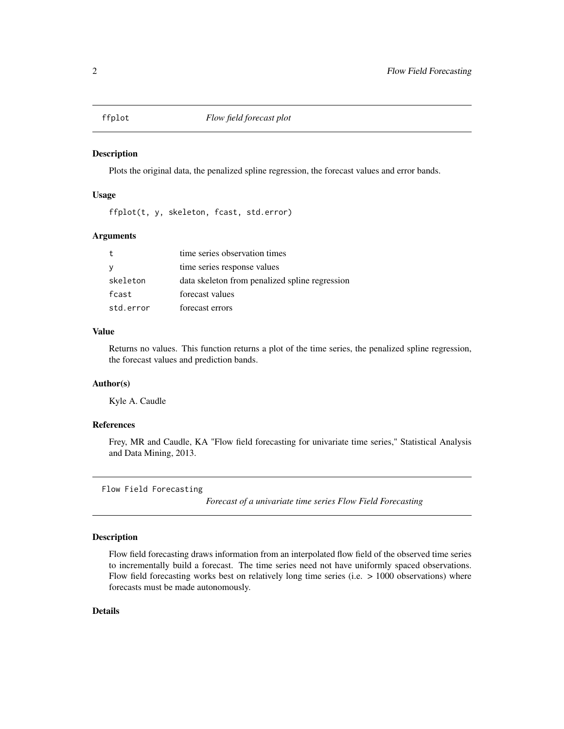<span id="page-1-0"></span>

#### Description

Plots the original data, the penalized spline regression, the forecast values and error bands.

#### Usage

ffplot(t, y, skeleton, fcast, std.error)

#### Arguments

|           | time series observation times                  |
|-----------|------------------------------------------------|
|           | time series response values                    |
| skeleton  | data skeleton from penalized spline regression |
| fcast     | forecast values                                |
| std.error | forecast errors                                |

#### Value

Returns no values. This function returns a plot of the time series, the penalized spline regression, the forecast values and prediction bands.

#### Author(s)

Kyle A. Caudle

#### References

Frey, MR and Caudle, KA "Flow field forecasting for univariate time series," Statistical Analysis and Data Mining, 2013.

Flow Field Forecasting

*Forecast of a univariate time series Flow Field Forecasting*

#### Description

Flow field forecasting draws information from an interpolated flow field of the observed time series to incrementally build a forecast. The time series need not have uniformly spaced observations. Flow field forecasting works best on relatively long time series (i.e. > 1000 observations) where forecasts must be made autonomously.

#### Details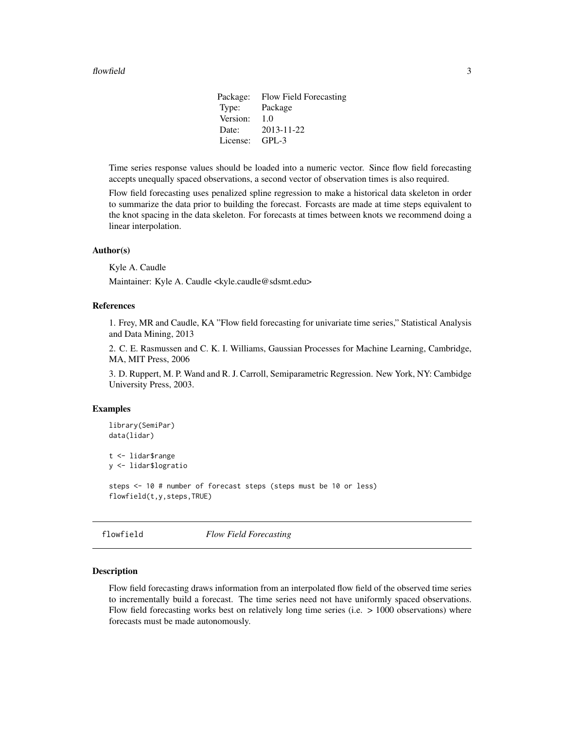#### <span id="page-2-0"></span>flowfield 3

Package: Flow Field Forecasting Type: Package Version: 1.0 Date: 2013-11-22 License: GPL-3

Time series response values should be loaded into a numeric vector. Since flow field forecasting accepts unequally spaced observations, a second vector of observation times is also required.

Flow field forecasting uses penalized spline regression to make a historical data skeleton in order to summarize the data prior to building the forecast. Forcasts are made at time steps equivalent to the knot spacing in the data skeleton. For forecasts at times between knots we recommend doing a linear interpolation.

#### Author(s)

Kyle A. Caudle

Maintainer: Kyle A. Caudle <kyle.caudle@sdsmt.edu>

#### References

1. Frey, MR and Caudle, KA "Flow field forecasting for univariate time series," Statistical Analysis and Data Mining, 2013

2. C. E. Rasmussen and C. K. I. Williams, Gaussian Processes for Machine Learning, Cambridge, MA, MIT Press, 2006

3. D. Ruppert, M. P. Wand and R. J. Carroll, Semiparametric Regression. New York, NY: Cambidge University Press, 2003.

#### Examples

```
library(SemiPar)
data(lidar)
t <- lidar$range
y <- lidar$logratio
steps <- 10 # number of forecast steps (steps must be 10 or less)
flowfield(t,y,steps,TRUE)
```
flowfield *Flow Field Forecasting*

#### **Description**

Flow field forecasting draws information from an interpolated flow field of the observed time series to incrementally build a forecast. The time series need not have uniformly spaced observations. Flow field forecasting works best on relatively long time series (i.e.  $> 1000$  observations) where forecasts must be made autonomously.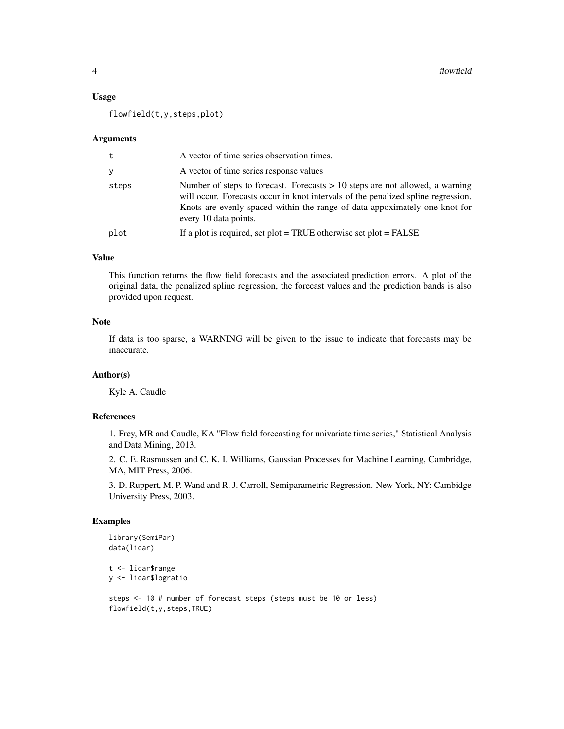#### Usage

flowfield(t,y,steps,plot)

#### Arguments

| t     | A vector of time series observation times.                                                                                                                                                                                                                                 |
|-------|----------------------------------------------------------------------------------------------------------------------------------------------------------------------------------------------------------------------------------------------------------------------------|
| y     | A vector of time series response values                                                                                                                                                                                                                                    |
| steps | Number of steps to forecast. Forecasts $> 10$ steps are not allowed, a warning<br>will occur. Forecasts occur in knot intervals of the penalized spline regression.<br>Knots are evenly spaced within the range of data appoximately one knot for<br>every 10 data points. |
| plot  | If a plot is required, set plot = TRUE otherwise set plot = $FALSE$                                                                                                                                                                                                        |

#### Value

This function returns the flow field forecasts and the associated prediction errors. A plot of the original data, the penalized spline regression, the forecast values and the prediction bands is also provided upon request.

#### **Note**

If data is too sparse, a WARNING will be given to the issue to indicate that forecasts may be inaccurate.

#### Author(s)

Kyle A. Caudle

#### References

1. Frey, MR and Caudle, KA "Flow field forecasting for univariate time series," Statistical Analysis and Data Mining, 2013.

2. C. E. Rasmussen and C. K. I. Williams, Gaussian Processes for Machine Learning, Cambridge, MA, MIT Press, 2006.

3. D. Ruppert, M. P. Wand and R. J. Carroll, Semiparametric Regression. New York, NY: Cambidge University Press, 2003.

#### Examples

```
library(SemiPar)
data(lidar)
```

```
t <- lidar$range
y <- lidar$logratio
```
steps <- 10 # number of forecast steps (steps must be 10 or less) flowfield(t,y,steps,TRUE)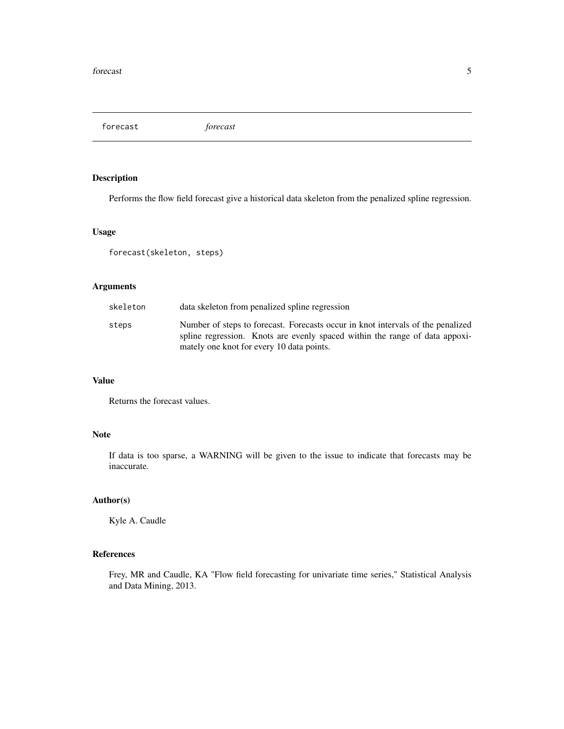<span id="page-4-0"></span>forecast *forecast*

#### Description

Performs the flow field forecast give a historical data skeleton from the penalized spline regression.

#### Usage

forecast(skeleton, steps)

#### Arguments

| skeleton | data skeleton from penalized spline regression                                                                                                                                                              |
|----------|-------------------------------------------------------------------------------------------------------------------------------------------------------------------------------------------------------------|
| steps    | Number of steps to forecast. Forecasts occur in knot intervals of the penalized<br>spline regression. Knots are evenly spaced within the range of data appoxi-<br>mately one knot for every 10 data points. |

#### Value

Returns the forecast values.

#### Note

If data is too sparse, a WARNING will be given to the issue to indicate that forecasts may be inaccurate.

#### Author(s)

Kyle A. Caudle

#### References

Frey, MR and Caudle, KA "Flow field forecasting for univariate time series," Statistical Analysis and Data Mining, 2013.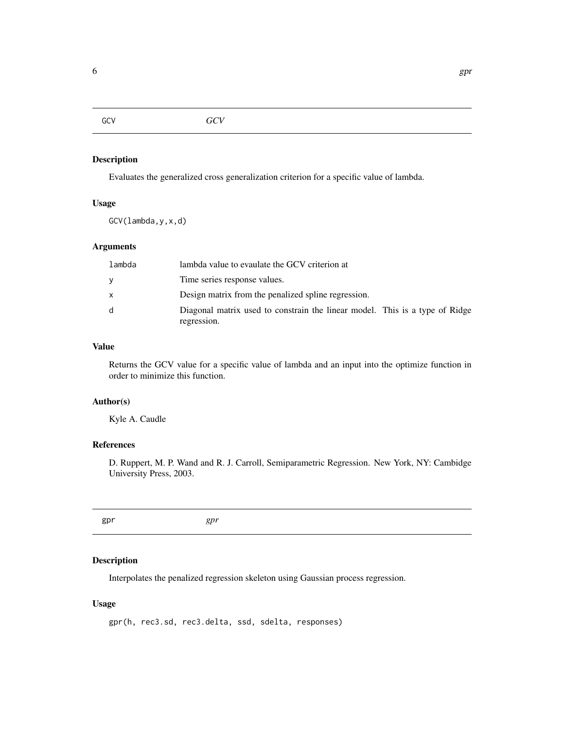#### <span id="page-5-0"></span>Description

Evaluates the generalized cross generalization criterion for a specific value of lambda.

#### Usage

GCV(lambda,y,x,d)

#### Arguments

| lambda       | lambda value to evaulate the GCV criterion at                                              |
|--------------|--------------------------------------------------------------------------------------------|
| <b>V</b>     | Time series response values.                                                               |
| $\mathsf{x}$ | Design matrix from the penalized spline regression.                                        |
| d            | Diagonal matrix used to constrain the linear model. This is a type of Ridge<br>regression. |

#### Value

Returns the GCV value for a specific value of lambda and an input into the optimize function in order to minimize this function.

#### Author(s)

Kyle A. Caudle

#### References

D. Ruppert, M. P. Wand and R. J. Carroll, Semiparametric Regression. New York, NY: Cambidge University Press, 2003.

gpr *gpr*

#### Description

Interpolates the penalized regression skeleton using Gaussian process regression.

#### Usage

gpr(h, rec3.sd, rec3.delta, ssd, sdelta, responses)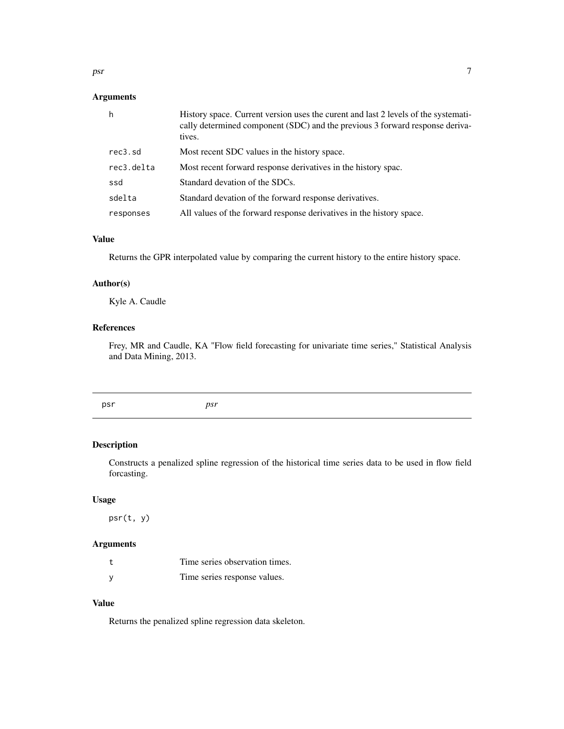<span id="page-6-0"></span>psr 7

#### Arguments

| h          | History space. Current version uses the curent and last 2 levels of the systemati-<br>cally determined component (SDC) and the previous 3 forward response deriva-<br>tives. |
|------------|------------------------------------------------------------------------------------------------------------------------------------------------------------------------------|
| rec3.sd    | Most recent SDC values in the history space.                                                                                                                                 |
| rec3.delta | Most recent forward response derivatives in the history spac.                                                                                                                |
| ssd        | Standard devation of the SDCs.                                                                                                                                               |
| sdelta     | Standard devation of the forward response derivatives.                                                                                                                       |
| responses  | All values of the forward response derivatives in the history space.                                                                                                         |

#### Value

Returns the GPR interpolated value by comparing the current history to the entire history space.

#### Author(s)

Kyle A. Caudle

#### References

Frey, MR and Caudle, KA "Flow field forecasting for univariate time series," Statistical Analysis and Data Mining, 2013.

psr *psr*

#### Description

Constructs a penalized spline regression of the historical time series data to be used in flow field forcasting.

#### Usage

psr(t, y)

#### Arguments

| t | Time series observation times. |
|---|--------------------------------|
| ٧ | Time series response values.   |

### Value

Returns the penalized spline regression data skeleton.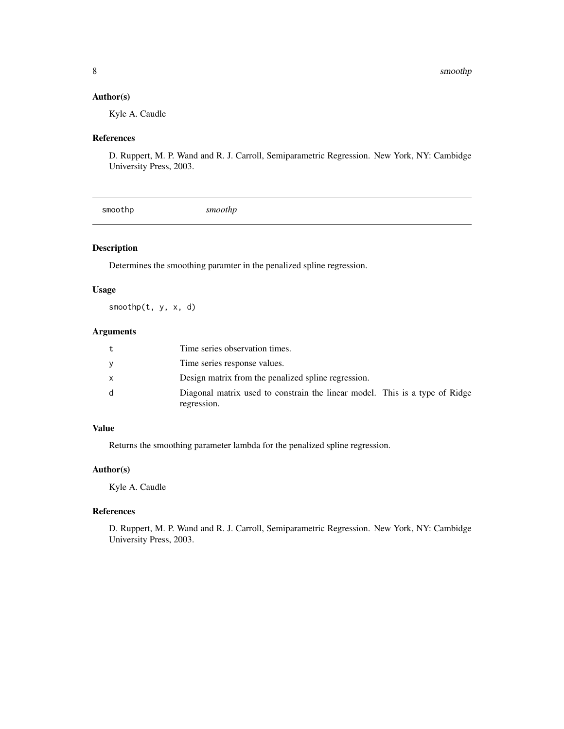#### <span id="page-7-0"></span>Author(s)

Kyle A. Caudle

#### References

D. Ruppert, M. P. Wand and R. J. Carroll, Semiparametric Regression. New York, NY: Cambidge University Press, 2003.

|--|

#### Description

Determines the smoothing paramter in the penalized spline regression.

#### Usage

smoothp(t, y, x, d)

#### Arguments

| Time series observation times.                                                             |
|--------------------------------------------------------------------------------------------|
| Time series response values.                                                               |
| Design matrix from the penalized spline regression.                                        |
| Diagonal matrix used to constrain the linear model. This is a type of Ridge<br>regression. |

#### Value

Returns the smoothing parameter lambda for the penalized spline regression.

#### Author(s)

Kyle A. Caudle

### References

D. Ruppert, M. P. Wand and R. J. Carroll, Semiparametric Regression. New York, NY: Cambidge University Press, 2003.